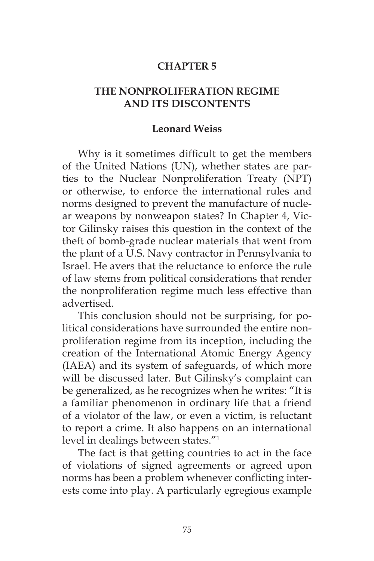## **CHAPTER 5**

## **THE NONPROLIFERATION REGIME AND ITS DISCONTENTS**

## **Leonard Weiss**

Why is it sometimes difficult to get the members of the United Nations (UN), whether states are parties to the Nuclear Nonproliferation Treaty (NPT) or otherwise, to enforce the international rules and norms designed to prevent the manufacture of nuclear weapons by nonweapon states? In Chapter 4, Victor Gilinsky raises this question in the context of the theft of bomb-grade nuclear materials that went from the plant of a U.S. Navy contractor in Pennsylvania to Israel. He avers that the reluctance to enforce the rule of law stems from political considerations that render the nonproliferation regime much less effective than advertised.

This conclusion should not be surprising, for political considerations have surrounded the entire nonproliferation regime from its inception, including the creation of the International Atomic Energy Agency (IAEA) and its system of safeguards, of which more will be discussed later. But Gilinsky's complaint can be generalized, as he recognizes when he writes: "It is a familiar phenomenon in ordinary life that a friend of a violator of the law, or even a victim, is reluctant to report a crime. It also happens on an international level in dealings between states."1

The fact is that getting countries to act in the face of violations of signed agreements or agreed upon norms has been a problem whenever conflicting interests come into play. A particularly egregious example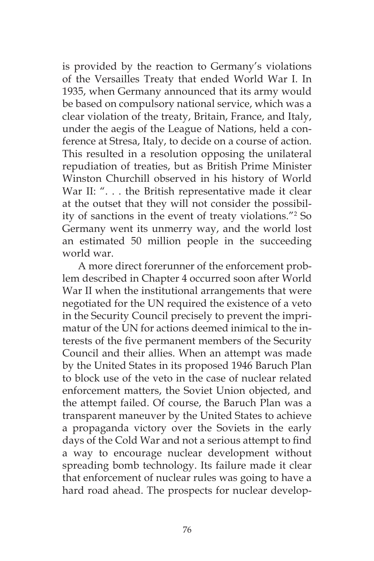is provided by the reaction to Germany's violations of the Versailles Treaty that ended World War I. In 1935, when Germany announced that its army would be based on compulsory national service, which was a clear violation of the treaty, Britain, France, and Italy, under the aegis of the League of Nations, held a conference at Stresa, Italy, to decide on a course of action. This resulted in a resolution opposing the unilateral repudiation of treaties, but as British Prime Minister Winston Churchill observed in his history of World War II: ". . . the British representative made it clear at the outset that they will not consider the possibility of sanctions in the event of treaty violations."2 So Germany went its unmerry way, and the world lost an estimated 50 million people in the succeeding world war.

A more direct forerunner of the enforcement problem described in Chapter 4 occurred soon after World War II when the institutional arrangements that were negotiated for the UN required the existence of a veto in the Security Council precisely to prevent the imprimatur of the UN for actions deemed inimical to the interests of the five permanent members of the Security Council and their allies. When an attempt was made by the United States in its proposed 1946 Baruch Plan to block use of the veto in the case of nuclear related enforcement matters, the Soviet Union objected, and the attempt failed. Of course, the Baruch Plan was a transparent maneuver by the United States to achieve a propaganda victory over the Soviets in the early days of the Cold War and not a serious attempt to find a way to encourage nuclear development without spreading bomb technology. Its failure made it clear that enforcement of nuclear rules was going to have a hard road ahead. The prospects for nuclear develop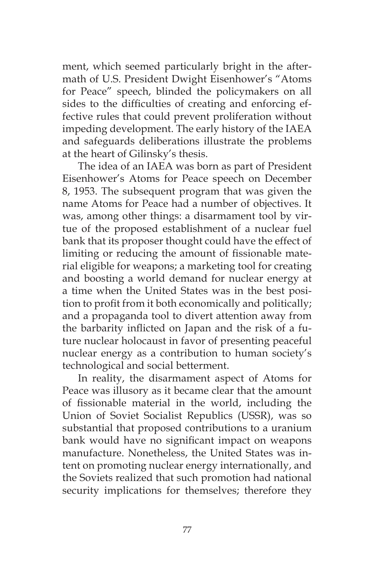ment, which seemed particularly bright in the aftermath of U.S. President Dwight Eisenhower's "Atoms for Peace" speech, blinded the policymakers on all sides to the difficulties of creating and enforcing effective rules that could prevent proliferation without impeding development. The early history of the IAEA and safeguards deliberations illustrate the problems at the heart of Gilinsky's thesis.

The idea of an IAEA was born as part of President Eisenhower's Atoms for Peace speech on December 8, 1953. The subsequent program that was given the name Atoms for Peace had a number of objectives. It was, among other things: a disarmament tool by virtue of the proposed establishment of a nuclear fuel bank that its proposer thought could have the effect of limiting or reducing the amount of fissionable material eligible for weapons; a marketing tool for creating and boosting a world demand for nuclear energy at a time when the United States was in the best position to profit from it both economically and politically; and a propaganda tool to divert attention away from the barbarity inflicted on Japan and the risk of a future nuclear holocaust in favor of presenting peaceful nuclear energy as a contribution to human society's technological and social betterment.

In reality, the disarmament aspect of Atoms for Peace was illusory as it became clear that the amount of fissionable material in the world, including the Union of Soviet Socialist Republics (USSR), was so substantial that proposed contributions to a uranium bank would have no significant impact on weapons manufacture. Nonetheless, the United States was intent on promoting nuclear energy internationally, and the Soviets realized that such promotion had national security implications for themselves; therefore they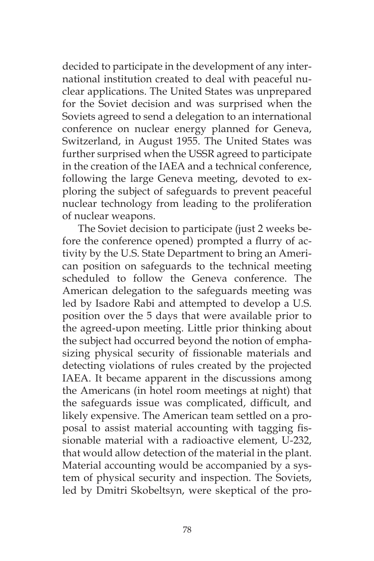decided to participate in the development of any international institution created to deal with peaceful nuclear applications. The United States was unprepared for the Soviet decision and was surprised when the Soviets agreed to send a delegation to an international conference on nuclear energy planned for Geneva, Switzerland, in August 1955. The United States was further surprised when the USSR agreed to participate in the creation of the IAEA and a technical conference, following the large Geneva meeting, devoted to exploring the subject of safeguards to prevent peaceful nuclear technology from leading to the proliferation of nuclear weapons.

The Soviet decision to participate (just 2 weeks before the conference opened) prompted a flurry of activity by the U.S. State Department to bring an American position on safeguards to the technical meeting scheduled to follow the Geneva conference. The American delegation to the safeguards meeting was led by Isadore Rabi and attempted to develop a U.S. position over the 5 days that were available prior to the agreed-upon meeting. Little prior thinking about the subject had occurred beyond the notion of emphasizing physical security of fissionable materials and detecting violations of rules created by the projected IAEA. It became apparent in the discussions among the Americans (in hotel room meetings at night) that the safeguards issue was complicated, difficult, and likely expensive. The American team settled on a proposal to assist material accounting with tagging fissionable material with a radioactive element, U-232, that would allow detection of the material in the plant. Material accounting would be accompanied by a system of physical security and inspection. The Soviets, led by Dmitri Skobeltsyn, were skeptical of the pro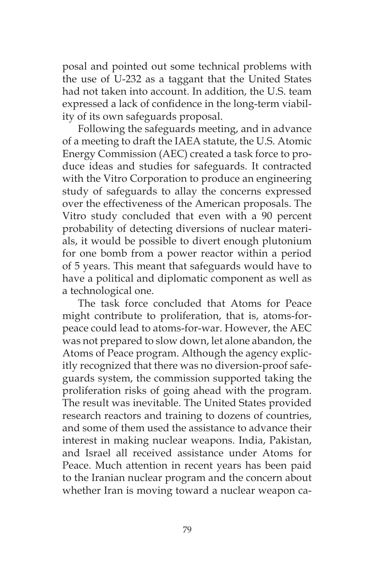posal and pointed out some technical problems with the use of U-232 as a taggant that the United States had not taken into account. In addition, the U.S. team expressed a lack of confidence in the long-term viability of its own safeguards proposal.

Following the safeguards meeting, and in advance of a meeting to draft the IAEA statute, the U.S. Atomic Energy Commission (AEC) created a task force to produce ideas and studies for safeguards. It contracted with the Vitro Corporation to produce an engineering study of safeguards to allay the concerns expressed over the effectiveness of the American proposals. The Vitro study concluded that even with a 90 percent probability of detecting diversions of nuclear materials, it would be possible to divert enough plutonium for one bomb from a power reactor within a period of 5 years. This meant that safeguards would have to have a political and diplomatic component as well as a technological one.

The task force concluded that Atoms for Peace might contribute to proliferation, that is, atoms-forpeace could lead to atoms-for-war. However, the AEC was not prepared to slow down, let alone abandon, the Atoms of Peace program. Although the agency explicitly recognized that there was no diversion-proof safeguards system, the commission supported taking the proliferation risks of going ahead with the program. The result was inevitable. The United States provided research reactors and training to dozens of countries, and some of them used the assistance to advance their interest in making nuclear weapons. India, Pakistan, and Israel all received assistance under Atoms for Peace. Much attention in recent years has been paid to the Iranian nuclear program and the concern about whether Iran is moving toward a nuclear weapon ca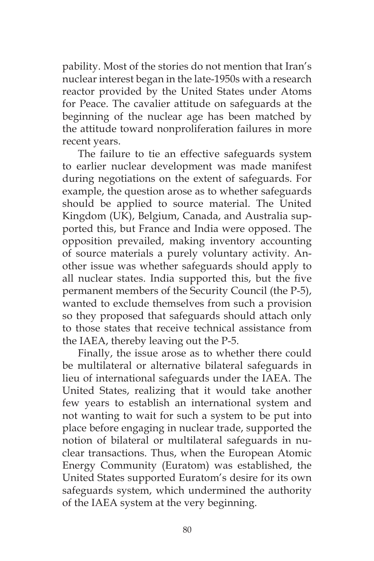pability. Most of the stories do not mention that Iran's nuclear interest began in the late-1950s with a research reactor provided by the United States under Atoms for Peace. The cavalier attitude on safeguards at the beginning of the nuclear age has been matched by the attitude toward nonproliferation failures in more recent years.

The failure to tie an effective safeguards system to earlier nuclear development was made manifest during negotiations on the extent of safeguards. For example, the question arose as to whether safeguards should be applied to source material. The United Kingdom (UK), Belgium, Canada, and Australia supported this, but France and India were opposed. The opposition prevailed, making inventory accounting of source materials a purely voluntary activity. Another issue was whether safeguards should apply to all nuclear states. India supported this, but the five permanent members of the Security Council (the P-5), wanted to exclude themselves from such a provision so they proposed that safeguards should attach only to those states that receive technical assistance from the IAEA, thereby leaving out the P-5.

Finally, the issue arose as to whether there could be multilateral or alternative bilateral safeguards in lieu of international safeguards under the IAEA. The United States, realizing that it would take another few years to establish an international system and not wanting to wait for such a system to be put into place before engaging in nuclear trade, supported the notion of bilateral or multilateral safeguards in nuclear transactions. Thus, when the European Atomic Energy Community (Euratom) was established, the United States supported Euratom's desire for its own safeguards system, which undermined the authority of the IAEA system at the very beginning.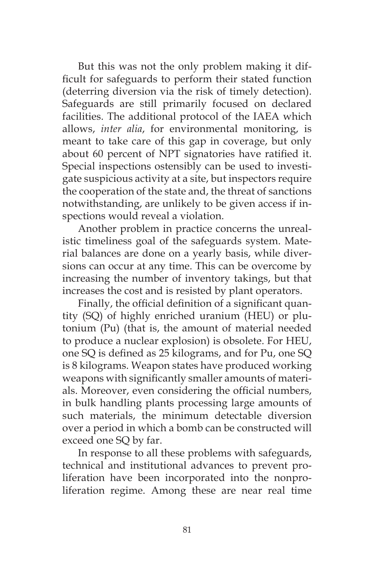But this was not the only problem making it difficult for safeguards to perform their stated function (deterring diversion via the risk of timely detection). Safeguards are still primarily focused on declared facilities. The additional protocol of the IAEA which allows, *inter alia*, for environmental monitoring, is meant to take care of this gap in coverage, but only about 60 percent of NPT signatories have ratified it. Special inspections ostensibly can be used to investigate suspicious activity at a site, but inspectors require the cooperation of the state and, the threat of sanctions notwithstanding, are unlikely to be given access if inspections would reveal a violation.

Another problem in practice concerns the unrealistic timeliness goal of the safeguards system. Material balances are done on a yearly basis, while diversions can occur at any time. This can be overcome by increasing the number of inventory takings, but that increases the cost and is resisted by plant operators.

Finally, the official definition of a significant quantity (SQ) of highly enriched uranium (HEU) or plutonium (Pu) (that is, the amount of material needed to produce a nuclear explosion) is obsolete. For HEU, one SQ is defined as 25 kilograms, and for Pu, one SQ is 8 kilograms. Weapon states have produced working weapons with significantly smaller amounts of materials. Moreover, even considering the official numbers, in bulk handling plants processing large amounts of such materials, the minimum detectable diversion over a period in which a bomb can be constructed will exceed one SQ by far.

In response to all these problems with safeguards, technical and institutional advances to prevent proliferation have been incorporated into the nonproliferation regime. Among these are near real time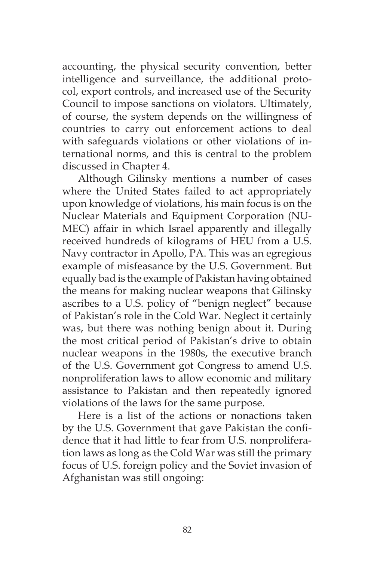accounting, the physical security convention, better intelligence and surveillance, the additional protocol, export controls, and increased use of the Security Council to impose sanctions on violators. Ultimately, of course, the system depends on the willingness of countries to carry out enforcement actions to deal with safeguards violations or other violations of international norms, and this is central to the problem discussed in Chapter 4.

Although Gilinsky mentions a number of cases where the United States failed to act appropriately upon knowledge of violations, his main focus is on the Nuclear Materials and Equipment Corporation (NU-MEC) affair in which Israel apparently and illegally received hundreds of kilograms of HEU from a U.S. Navy contractor in Apollo, PA. This was an egregious example of misfeasance by the U.S. Government. But equally bad is the example of Pakistan having obtained the means for making nuclear weapons that Gilinsky ascribes to a U.S. policy of "benign neglect" because of Pakistan's role in the Cold War. Neglect it certainly was, but there was nothing benign about it. During the most critical period of Pakistan's drive to obtain nuclear weapons in the 1980s, the executive branch of the U.S. Government got Congress to amend U.S. nonproliferation laws to allow economic and military assistance to Pakistan and then repeatedly ignored violations of the laws for the same purpose.

Here is a list of the actions or nonactions taken by the U.S. Government that gave Pakistan the confidence that it had little to fear from U.S. nonproliferation laws as long as the Cold War was still the primary focus of U.S. foreign policy and the Soviet invasion of Afghanistan was still ongoing: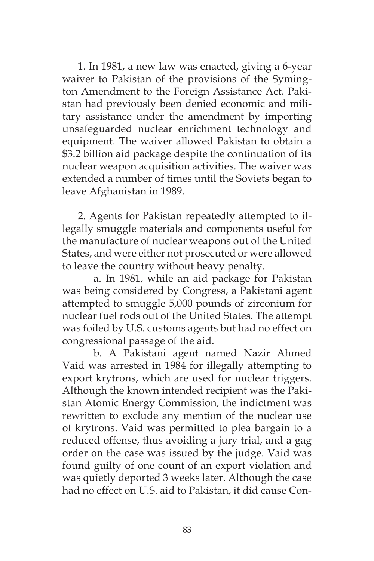1. In 1981, a new law was enacted, giving a 6-year waiver to Pakistan of the provisions of the Symington Amendment to the Foreign Assistance Act. Pakistan had previously been denied economic and military assistance under the amendment by importing unsafeguarded nuclear enrichment technology and equipment. The waiver allowed Pakistan to obtain a \$3.2 billion aid package despite the continuation of its nuclear weapon acquisition activities. The waiver was extended a number of times until the Soviets began to leave Afghanistan in 1989.

2. Agents for Pakistan repeatedly attempted to illegally smuggle materials and components useful for the manufacture of nuclear weapons out of the United States, and were either not prosecuted or were allowed to leave the country without heavy penalty.

a. In 1981, while an aid package for Pakistan was being considered by Congress, a Pakistani agent attempted to smuggle 5,000 pounds of zirconium for nuclear fuel rods out of the United States. The attempt was foiled by U.S. customs agents but had no effect on congressional passage of the aid.

b. A Pakistani agent named Nazir Ahmed Vaid was arrested in 1984 for illegally attempting to export krytrons, which are used for nuclear triggers. Although the known intended recipient was the Pakistan Atomic Energy Commission, the indictment was rewritten to exclude any mention of the nuclear use of krytrons. Vaid was permitted to plea bargain to a reduced offense, thus avoiding a jury trial, and a gag order on the case was issued by the judge. Vaid was found guilty of one count of an export violation and was quietly deported 3 weeks later. Although the case had no effect on U.S. aid to Pakistan, it did cause Con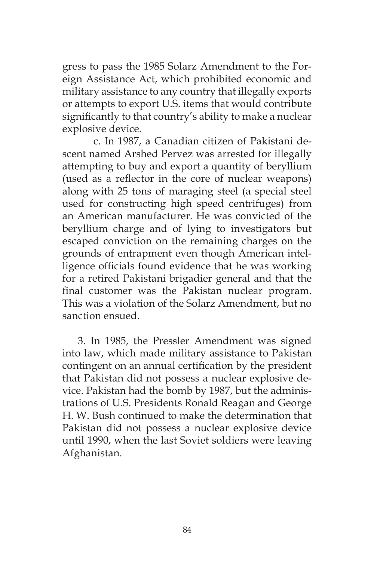gress to pass the 1985 Solarz Amendment to the Foreign Assistance Act, which prohibited economic and military assistance to any country that illegally exports or attempts to export U.S. items that would contribute significantly to that country's ability to make a nuclear explosive device.

c. In 1987, a Canadian citizen of Pakistani descent named Arshed Pervez was arrested for illegally attempting to buy and export a quantity of beryllium (used as a reflector in the core of nuclear weapons) along with 25 tons of maraging steel (a special steel used for constructing high speed centrifuges) from an American manufacturer. He was convicted of the beryllium charge and of lying to investigators but escaped conviction on the remaining charges on the grounds of entrapment even though American intelligence officials found evidence that he was working for a retired Pakistani brigadier general and that the final customer was the Pakistan nuclear program. This was a violation of the Solarz Amendment, but no sanction ensued.

3. In 1985, the Pressler Amendment was signed into law, which made military assistance to Pakistan contingent on an annual certification by the president that Pakistan did not possess a nuclear explosive device. Pakistan had the bomb by 1987, but the administrations of U.S. Presidents Ronald Reagan and George H. W. Bush continued to make the determination that Pakistan did not possess a nuclear explosive device until 1990, when the last Soviet soldiers were leaving Afghanistan.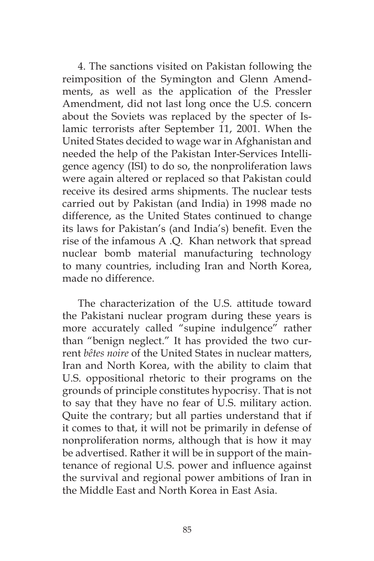4. The sanctions visited on Pakistan following the reimposition of the Symington and Glenn Amendments, as well as the application of the Pressler Amendment, did not last long once the U.S. concern about the Soviets was replaced by the specter of Islamic terrorists after September 11, 2001. When the United States decided to wage war in Afghanistan and needed the help of the Pakistan Inter-Services Intelligence agency (ISI) to do so, the nonproliferation laws were again altered or replaced so that Pakistan could receive its desired arms shipments. The nuclear tests carried out by Pakistan (and India) in 1998 made no difference, as the United States continued to change its laws for Pakistan's (and India's) benefit. Even the rise of the infamous A .Q. Khan network that spread nuclear bomb material manufacturing technology to many countries, including Iran and North Korea, made no difference.

The characterization of the U.S. attitude toward the Pakistani nuclear program during these years is more accurately called "supine indulgence" rather than "benign neglect." It has provided the two current *bêtes noire* of the United States in nuclear matters, Iran and North Korea, with the ability to claim that U.S. oppositional rhetoric to their programs on the grounds of principle constitutes hypocrisy. That is not to say that they have no fear of U.S. military action. Quite the contrary; but all parties understand that if it comes to that, it will not be primarily in defense of nonproliferation norms, although that is how it may be advertised. Rather it will be in support of the maintenance of regional U.S. power and influence against the survival and regional power ambitions of Iran in the Middle East and North Korea in East Asia.